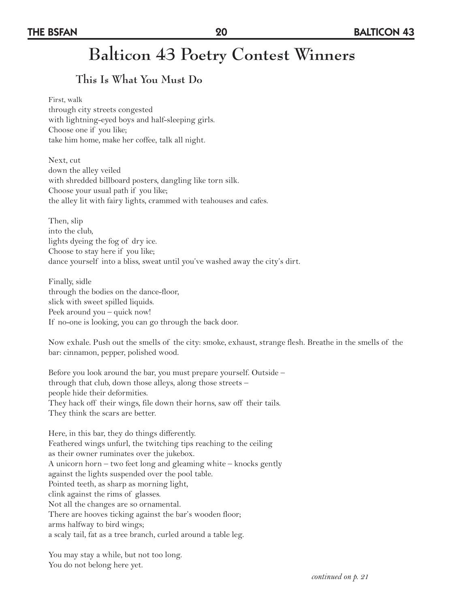# **This Is What You Must Do**

#### First, walk through city streets congested with lightning-eyed boys and half-sleeping girls. Choose one if you like; take him home, make her coffee, talk all night.

Next, cut down the alley veiled with shredded billboard posters, dangling like torn silk. Choose your usual path if you like; the alley lit with fairy lights, crammed with teahouses and cafes.

Then, slip into the club, lights dyeing the fog of dry ice. Choose to stay here if you like; dance yourself into a bliss, sweat until you've washed away the city's dirt.

Finally, sidle through the bodies on the dance-floor, slick with sweet spilled liquids. Peek around you – quick now! If no-one is looking, you can go through the back door.

Now exhale. Push out the smells of the city: smoke, exhaust, strange flesh. Breathe in the smells of the bar: cinnamon, pepper, polished wood.

Before you look around the bar, you must prepare yourself. Outside – through that club, down those alleys, along those streets – people hide their deformities. They hack off their wings, file down their horns, saw off their tails. They think the scars are better.

Here, in this bar, they do things differently. Feathered wings unfurl, the twitching tips reaching to the ceiling as their owner ruminates over the jukebox. A unicorn horn – two feet long and gleaming white – knocks gently against the lights suspended over the pool table. Pointed teeth, as sharp as morning light, clink against the rims of glasses. Not all the changes are so ornamental. There are hooves ticking against the bar's wooden floor; arms halfway to bird wings; a scaly tail, fat as a tree branch, curled around a table leg.

You may stay a while, but not too long. You do not belong here yet.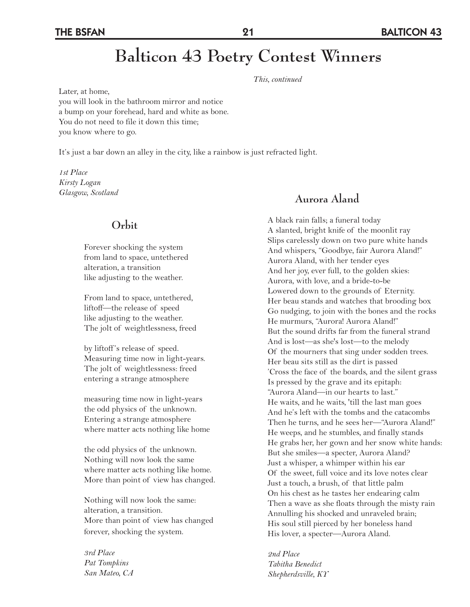# **Balticon 43 Poetry Contest Winners**

*This, continued* 

Later, at home, you will look in the bathroom mirror and notice a bump on your forehead, hard and white as bone. You do not need to file it down this time; you know where to go.

It's just a bar down an alley in the city, like a rainbow is just refracted light.

*1st Place Kirsty Logan Glasgow, Scotland*

#### **Orbit**

Forever shocking the system from land to space, untethered alteration, a transition like adjusting to the weather.

From land to space, untethered, liftoff—the release of speed like adjusting to the weather. The jolt of weightlessness, freed

by liftoff 's release of speed. Measuring time now in light-years. The jolt of weightlessness: freed entering a strange atmosphere

measuring time now in light-years the odd physics of the unknown. Entering a strange atmosphere where matter acts nothing like home

the odd physics of the unknown. Nothing will now look the same where matter acts nothing like home. More than point of view has changed.

Nothing will now look the same: alteration, a transition. More than point of view has changed forever, shocking the system.

*3rd Place Pat Tompkins San Mateo, CA* 

#### **Aurora Aland**

A black rain falls; a funeral today A slanted, bright knife of the moonlit ray Slips carelessly down on two pure white hands And whispers, "Goodbye, fair Aurora Aland!" Aurora Aland, with her tender eyes And her joy, ever full, to the golden skies: Aurora, with love, and a bride-to-be Lowered down to the grounds of Eternity. Her beau stands and watches that brooding box Go nudging, to join with the bones and the rocks He murmurs, "Aurora! Aurora Aland!" But the sound drifts far from the funeral strand And is lost—as she's lost—to the melody Of the mourners that sing under sodden trees. Her beau sits still as the dirt is passed 'Cross the face of the boards, and the silent grass Is pressed by the grave and its epitaph: "Aurora Aland—in our hearts to last." He waits, and he waits, 'till the last man goes And he's left with the tombs and the catacombs Then he turns, and he sees her—"Aurora Aland!" He weeps, and he stumbles, and finally stands He grabs her, her gown and her snow white hands: But she smiles—a specter, Aurora Aland? Just a whisper, a whimper within his ear Of the sweet, full voice and its love notes clear Just a touch, a brush, of that little palm On his chest as he tastes her endearing calm Then a wave as she floats through the misty rain Annulling his shocked and unraveled brain; His soul still pierced by her boneless hand His lover, a specter—Aurora Aland.

*2nd Place Tabitha Benedict Shepherdsville, KY*